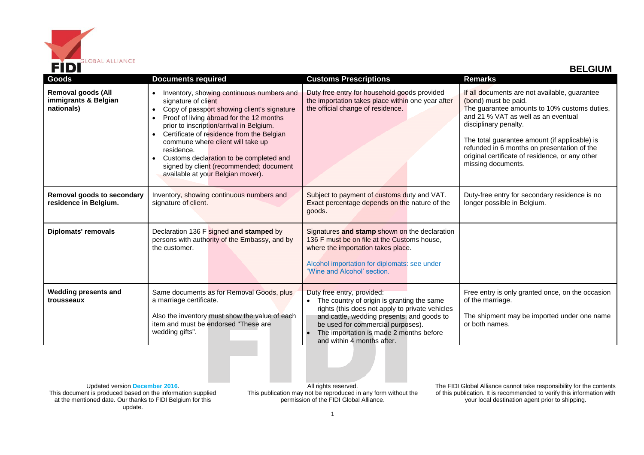

| Goods                                                           | <b>Documents required</b>                                                                                                                                                                                                                                                                                                                                                                                                                                                                           | <b>Customs Prescriptions</b>                                                                                                                                                                                                                                                            | <b>Remarks</b>                                                                                                                                                                                                                                                                                                                                                 |
|-----------------------------------------------------------------|-----------------------------------------------------------------------------------------------------------------------------------------------------------------------------------------------------------------------------------------------------------------------------------------------------------------------------------------------------------------------------------------------------------------------------------------------------------------------------------------------------|-----------------------------------------------------------------------------------------------------------------------------------------------------------------------------------------------------------------------------------------------------------------------------------------|----------------------------------------------------------------------------------------------------------------------------------------------------------------------------------------------------------------------------------------------------------------------------------------------------------------------------------------------------------------|
| <b>Removal goods (All</b><br>immigrants & Belgian<br>nationals) | Inventory, showing continuous numbers and<br>$\bullet$<br>signature of client<br>Copy of passport showing client's signature<br>$\bullet$<br>Proof of living abroad for the 12 months<br>$\bullet$<br>prior to inscription/arrival in Belgium.<br>Certificate of residence from the Belgian<br>$\bullet$<br>commune where client will take up<br>residence.<br>Customs declaration to be completed and<br>$\bullet$<br>signed by client (recommended; document<br>available at your Belgian mover). | Duty free entry for household goods provided<br>the importation takes place within one year after<br>the official change of residence.                                                                                                                                                  | If all documents are not available, guarantee<br>(bond) must be paid.<br>The guarantee amounts to 10% customs duties,<br>and 21 % VAT as well as an eventual<br>disciplinary penalty.<br>The total guarantee amount (if applicable) is<br>refunded in 6 months on presentation of the<br>original certificate of residence, or any other<br>missing documents. |
| Removal goods to secondary<br>residence in Belgium.             | Inventory, showing continuous numbers and<br>signature of client.                                                                                                                                                                                                                                                                                                                                                                                                                                   | Subject to payment of customs duty and VAT.<br>Exact percentage depends on the nature of the<br>goods.                                                                                                                                                                                  | Duty-free entry for secondary residence is no<br>longer possible in Belgium.                                                                                                                                                                                                                                                                                   |
| <b>Diplomats' removals</b>                                      | Declaration 136 F signed and stamped by<br>persons with authority of the Embassy, and by<br>the customer.                                                                                                                                                                                                                                                                                                                                                                                           | Signatures and stamp shown on the declaration<br>136 F must be on file at the Customs house,<br>where the importation takes place.<br>Alcohol importation for diplomats: see under<br>"Wine and Alcohol' section.                                                                       |                                                                                                                                                                                                                                                                                                                                                                |
| <b>Wedding presents and</b><br>trousseaux                       | Same documents as for Removal Goods, plus<br>a marriage certificate.<br>Also the inventory must show the value of each<br>item and must be endorsed "These are<br>wedding gifts".                                                                                                                                                                                                                                                                                                                   | Duty free entry, provided:<br>The country of origin is granting the same<br>rights (this does not apply to private vehicles<br>and cattle, wedding presents, and goods to<br>be used for commercial purposes).<br>The importation is made 2 months before<br>and within 4 months after. | Free entry is only granted once, on the occasion<br>of the marriage.<br>The shipment may be imported under one name<br>or both names.                                                                                                                                                                                                                          |

Updated version **December 2016**. This document is produced based on the information supplied at the mentioned date. Our thanks to FIDI Belgium for this update.

All rights reserved. This publication may not be reproduced in any form without the permission of the FIDI Global Alliance.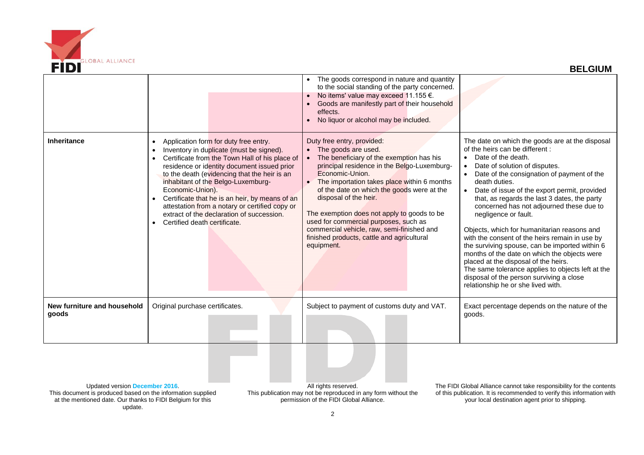

|                                                                                               |                                                                                                                                                                                                                                                                                                                                                                                                                                                                                                                                                | The goods correspond in nature and quantity<br>to the social standing of the party concerned.<br>No items' value may exceed 11.155 €.<br>Goods are manifestly part of their household<br>effects.<br>No liquor or alcohol may be included.                                                                                                                                                                                                                                                |                                                                                                                                                                                                                                                                                                                                                                                                                                                                                                                                                                                                                                                                                                                                                               |
|-----------------------------------------------------------------------------------------------|------------------------------------------------------------------------------------------------------------------------------------------------------------------------------------------------------------------------------------------------------------------------------------------------------------------------------------------------------------------------------------------------------------------------------------------------------------------------------------------------------------------------------------------------|-------------------------------------------------------------------------------------------------------------------------------------------------------------------------------------------------------------------------------------------------------------------------------------------------------------------------------------------------------------------------------------------------------------------------------------------------------------------------------------------|---------------------------------------------------------------------------------------------------------------------------------------------------------------------------------------------------------------------------------------------------------------------------------------------------------------------------------------------------------------------------------------------------------------------------------------------------------------------------------------------------------------------------------------------------------------------------------------------------------------------------------------------------------------------------------------------------------------------------------------------------------------|
| <b>Inheritance</b>                                                                            | Application form for duty free entry.<br>$\bullet$<br>Inventory in duplicate (must be signed).<br>$\bullet$<br>Certificate from the Town Hall of his place of<br>$\bullet$<br>residence or identity document issued prior<br>to the death (evidencing that the heir is an<br>inhabitant of the Belgo-Luxemburg-<br>Economic-Union).<br>Certificate that he is an heir, by means of an<br>$\bullet$<br>attestation from a notary or certified copy or<br>extract of the declaration of succession.<br>Certified death certificate.<br>$\bullet$ | Duty free entry, provided:<br>• The goods are used.<br>The beneficiary of the exemption has his<br>principal residence in the Belgo-Luxemburg-<br>Economic-Union.<br>The importation takes place within 6 months<br>of the date on which the goods were at the<br>disposal of the heir.<br>The exemption does not apply to goods to be<br>used for commercial purposes, such as<br>commercial vehicle, raw, semi-finished and<br>finished products, cattle and agricultural<br>equipment. | The date on which the goods are at the disposal<br>of the heirs can be different:<br>Date of the death.<br>Date of solution of disputes.<br>Date of the consignation of payment of the<br>death duties.<br>Date of issue of the export permit, provided<br>that, as regards the last 3 dates, the party<br>concerned has not adjourned these due to<br>negligence or fault.<br>Objects, which for humanitarian reasons and<br>with the consent of the heirs remain in use by<br>the surviving spouse, can be imported within 6<br>months of the date on which the objects were<br>placed at the disposal of the heirs.<br>The same tolerance applies to objects left at the<br>disposal of the person surviving a close<br>relationship he or she lived with. |
| New furniture and household<br>goods                                                          | Original purchase certificates.                                                                                                                                                                                                                                                                                                                                                                                                                                                                                                                | Subject to payment of customs duty and VAT.                                                                                                                                                                                                                                                                                                                                                                                                                                               | Exact percentage depends on the nature of the<br>goods.                                                                                                                                                                                                                                                                                                                                                                                                                                                                                                                                                                                                                                                                                                       |
| Updated version December 2016.<br>This document is produced based on the information supplied |                                                                                                                                                                                                                                                                                                                                                                                                                                                                                                                                                | All rights reserved.<br>This publication may not be reproduced in any form without the                                                                                                                                                                                                                                                                                                                                                                                                    | The FIDI Global Alliance cannot take responsibility for the contents<br>of this publication It is recommended to verify this information with                                                                                                                                                                                                                                                                                                                                                                                                                                                                                                                                                                                                                 |

This document is produced based on the information supplied at the mentioned date. Our thanks to FIDI Belgium for this update.

This publication may not be reproduced in any form without the permission of the FIDI Global Alliance.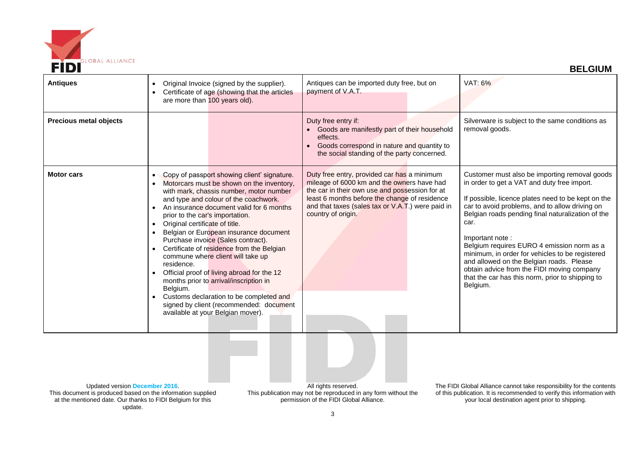

| <b>Antiques</b>               | Original Invoice (signed by the supplier).<br>$\bullet$<br>Certificate of age (showing that the articles<br>are more than 100 years old).                                                                                                                                                                                                                                                                                                                                                                                                                                                                                                                                                                                                           | Antiques can be imported duty free, but on<br>payment of V.A.T.                                                                                                                                                                                                         | VAT: 6%                                                                                                                                                                                                                                                                                                                                                                                                                                                                                                                                         |
|-------------------------------|-----------------------------------------------------------------------------------------------------------------------------------------------------------------------------------------------------------------------------------------------------------------------------------------------------------------------------------------------------------------------------------------------------------------------------------------------------------------------------------------------------------------------------------------------------------------------------------------------------------------------------------------------------------------------------------------------------------------------------------------------------|-------------------------------------------------------------------------------------------------------------------------------------------------------------------------------------------------------------------------------------------------------------------------|-------------------------------------------------------------------------------------------------------------------------------------------------------------------------------------------------------------------------------------------------------------------------------------------------------------------------------------------------------------------------------------------------------------------------------------------------------------------------------------------------------------------------------------------------|
| <b>Precious metal objects</b> |                                                                                                                                                                                                                                                                                                                                                                                                                                                                                                                                                                                                                                                                                                                                                     | Duty free entry if:<br>• Goods are manifestly part of their household<br>effects.<br>Goods correspond in nature and quantity to<br>the social standing of the party concerned.                                                                                          | Silverware is subject to the same conditions as<br>removal goods.                                                                                                                                                                                                                                                                                                                                                                                                                                                                               |
| <b>Motor cars</b>             | Copy of passport showing client' signature.<br>$\bullet$<br>Motorcars must be shown on the inventory,<br>with mark, chassis number, motor number<br>and type and colour of the coachwork.<br>An insurance document valid for 6 months<br>$\bullet$<br>prior to the car's importation.<br>Original certificate of title.<br>$\bullet$<br>Belgian or European insurance document<br>Purchase invoice (Sales contract).<br>Certificate of residence from the Belgian<br>commune where client will take up<br>residence.<br>Official proof of living abroad for the 12<br>months prior to arrival/inscription in<br>Belgium.<br>Customs declaration to be completed and<br>signed by client (recommended: document<br>available at your Belgian mover). | Duty free entry, provided car has a minimum<br>mileage of 6000 km and the owners have had<br>the car in their own use and possession for at<br>least 6 months before the change of residence<br>and that taxes (sales tax or V.A.T.) were paid in<br>country of origin. | Customer must also be importing removal goods<br>in order to get a VAT and duty free import.<br>If possible, licence plates need to be kept on the<br>car to avoid problems, and to allow driving on<br>Belgian roads pending final naturalization of the<br>car.<br>Important note:<br>Belgium requires EURO 4 emission norm as a<br>minimum, in order for vehicles to be registered<br>and allowed on the Belgian roads. Please<br>obtain advice from the FIDI moving company<br>that the car has this norm, prior to shipping to<br>Belgium. |

Updated version **December 2016**. This document is produced based on the information supplied at the mentioned date. Our thanks to FIDI Belgium for this update.

All rights reserved. This publication may not be reproduced in any form without the permission of the FIDI Global Alliance.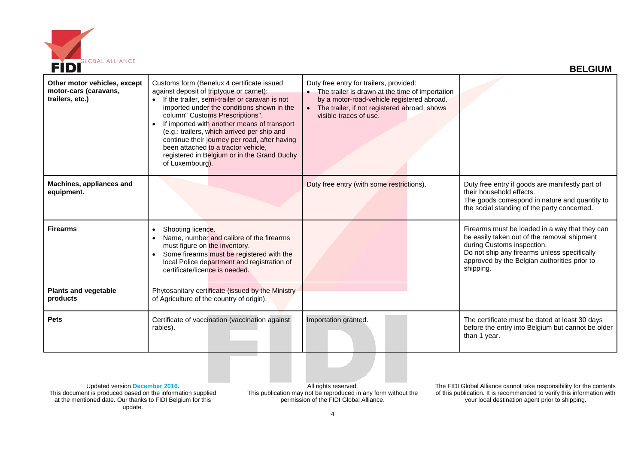

| Other motor vehicles, except<br>motor-cars (caravans,<br>trailers, etc.) | Customs form (Benelux 4 certificate issued<br>against deposit of triptyque or carnet):<br>If the trailer, semi-trailer or caravan is not<br>imported under the conditions shown in the<br>column" Customs Prescriptions".<br>If imported with another means of transport<br>(e.g.: trailers, which arrived per ship and<br>continue their journey per road, after having<br>been attached to a tractor vehicle,<br>registered in Belgium or in the Grand Duchy<br>of Luxembourg). | Duty free entry for trailers, provided:<br>• The trailer is drawn at the time of importation<br>by a motor-road-vehicle registered abroad.<br>The trailer, if not registered abroad, shows<br>visible traces of use. |                                                                                                                                                                                                                                          |
|--------------------------------------------------------------------------|-----------------------------------------------------------------------------------------------------------------------------------------------------------------------------------------------------------------------------------------------------------------------------------------------------------------------------------------------------------------------------------------------------------------------------------------------------------------------------------|----------------------------------------------------------------------------------------------------------------------------------------------------------------------------------------------------------------------|------------------------------------------------------------------------------------------------------------------------------------------------------------------------------------------------------------------------------------------|
| Machines, appliances and<br>equipment.                                   |                                                                                                                                                                                                                                                                                                                                                                                                                                                                                   | Duty free entry (with some restrictions).                                                                                                                                                                            | Duty free entry if goods are manifestly part of<br>their household effects.<br>The goods correspond in nature and quantity to<br>the social standing of the party concerned.                                                             |
| <b>Firearms</b>                                                          | Shooting licence.<br>$\bullet$<br>Name, number and calibre of the firearms<br>must figure on the inventory.<br>Some firearms must be registered with the<br>local Police department and registration of<br>certificate/licence is needed.                                                                                                                                                                                                                                         |                                                                                                                                                                                                                      | Firearms must be loaded in a way that they can<br>be easily taken out of the removal shipment<br>during Customs inspection.<br>Do not ship any firearms unless specifically<br>approved by the Belgian authorities prior to<br>shipping. |
| <b>Plants and vegetable</b><br>products                                  | Phytosanitary certificate (issued by the Ministry<br>of Agriculture of the country of origin).                                                                                                                                                                                                                                                                                                                                                                                    |                                                                                                                                                                                                                      |                                                                                                                                                                                                                                          |
| <b>Pets</b>                                                              | Certificate of vaccination (vaccination against<br>rabies).                                                                                                                                                                                                                                                                                                                                                                                                                       | Importation granted.                                                                                                                                                                                                 | The certificate must be dated at least 30 days<br>before the entry into Belgium but cannot be older<br>than 1 year.                                                                                                                      |

Updated version **December 2016**. This document is produced based on the information supplied at the mentioned date. Our thanks to FIDI Belgium for this update.

All rights reserved. This publication may not be reproduced in any form without the permission of the FIDI Global Alliance.